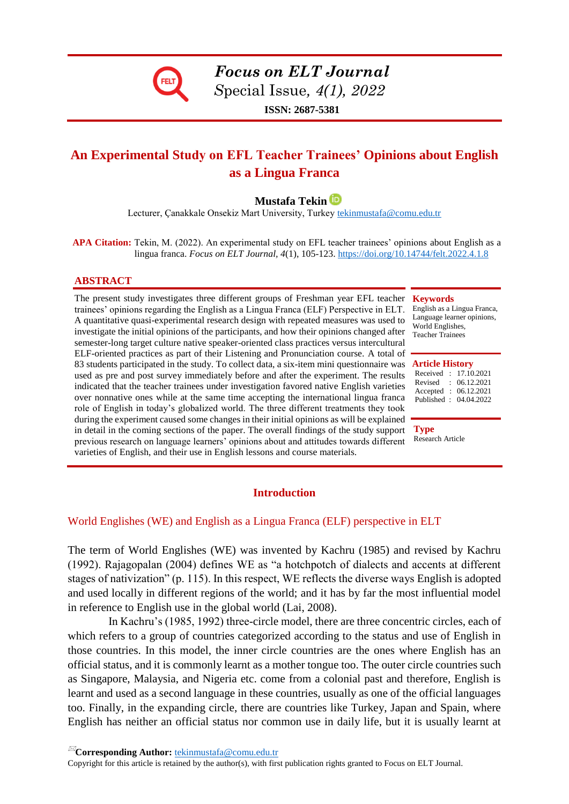

# *Focus on ELT Journal*

*S*pecial Issue*, 4(1), 2022*

**ISSN: 2687-5381**

## **An Experimental Study on EFL Teacher Trainees' Opinions about English as a Lingua Franca**

### **Mustafa Tekin**

Lecturer, Çanakkale Onsekiz Mart University, Turkey [tekinmustafa@comu.edu.tr](mailto:tekinmustafa@comu.edu.tr)

 **APA Citation:** Tekin, M. (2022). An experimental study on EFL teacher trainees' opinions about English as a lingua franca. *Focus on ELT Journal, 4*(1), 105-123[. https://doi.org/10.14744/felt.2022.4.1.8](https://doi.org/10.14744/felt.2022.4.1.8)

#### **ABSTRACT**

The present study investigates three different groups of Freshman year EFL teacher trainees' opinions regarding the English as a Lingua Franca (ELF) Perspective in ELT. A quantitative quasi-experimental research design with repeated measures was used to investigate the initial opinions of the participants, and how their opinions changed after semester-long target culture native speaker-oriented class practices versus intercultural ELF-oriented practices as part of their Listening and Pronunciation course. A total of 83 students participated in the study. To collect data, a six-item mini questionnaire was **Article History** used as pre and post survey immediately before and after the experiment. The results indicated that the teacher trainees under investigation favored native English varieties over nonnative ones while at the same time accepting the international lingua franca role of English in today's globalized world. The three different treatments they took during the experiment caused some changes in their initial opinions as will be explained in detail in the coming sections of the paper. The overall findings of the study support previous research on language learners' opinions about and attitudes towards different varieties of English, and their use in English lessons and course materials.

#### **Keywords**

English as a Lingua Franca, Language learner opinions, World Englishes, Teacher Trainees

Received : 17.10.2021 Revised : 06.12.2021 Accepted : 06.12.2021 Published : 04.04.2022

**Type** Research Article

#### **Introduction**

#### World Englishes (WE) and English as a Lingua Franca (ELF) perspective in ELT

The term of World Englishes (WE) was invented by Kachru (1985) and revised by Kachru (1992). Rajagopalan (2004) defines WE as "a hotchpotch of dialects and accents at different stages of nativization" (p. 115). In this respect, WE reflects the diverse ways English is adopted and used locally in different regions of the world; and it has by far the most influential model in reference to English use in the global world (Lai, 2008).

In Kachru's (1985, 1992) three-circle model, there are three concentric circles, each of which refers to a group of countries categorized according to the status and use of English in those countries. In this model, the inner circle countries are the ones where English has an official status, and it is commonly learnt as a mother tongue too. The outer circle countries such as Singapore, Malaysia, and Nigeria etc. come from a colonial past and therefore, English is learnt and used as a second language in these countries, usually as one of the official languages too. Finally, in the expanding circle, there are countries like Turkey, Japan and Spain, where English has neither an official status nor common use in daily life, but it is usually learnt at

**Corresponding Author:** [tekinmustafa@comu.edu.tr](mailto:tekinmustafa@comu.edu.tr) 

Copyright for this article is retained by the author(s), with first publication rights granted to Focus on ELT Journal.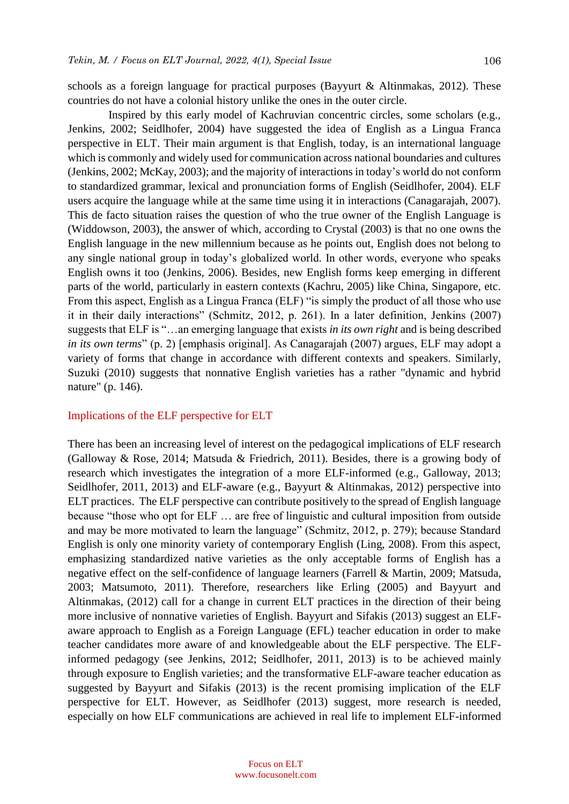schools as a foreign language for practical purposes (Bayyurt & Altinmakas, 2012). These countries do not have a colonial history unlike the ones in the outer circle.

Inspired by this early model of Kachruvian concentric circles, some scholars (e.g., Jenkins, 2002; Seidlhofer, 2004) have suggested the idea of English as a Lingua Franca perspective in ELT. Their main argument is that English, today, is an international language which is commonly and widely used for communication across national boundaries and cultures (Jenkins, 2002; McKay, 2003); and the majority of interactions in today's world do not conform to standardized grammar, lexical and pronunciation forms of English (Seidlhofer, 2004). ELF users acquire the language while at the same time using it in interactions (Canagarajah, 2007). This de facto situation raises the question of who the true owner of the English Language is (Widdowson, 2003), the answer of which, according to Crystal (2003) is that no one owns the English language in the new millennium because as he points out, English does not belong to any single national group in today's globalized world. In other words, everyone who speaks English owns it too (Jenkins, 2006). Besides, new English forms keep emerging in different parts of the world, particularly in eastern contexts (Kachru, 2005) like China, Singapore, etc. From this aspect, English as a Lingua Franca (ELF) "is simply the product of all those who use it in their daily interactions" (Schmitz, 2012, p. 261). In a later definition, Jenkins (2007) suggests that ELF is "…an emerging language that exists *in its own right* and is being described *in its own terms*" (p. 2) [emphasis original]. As Canagarajah (2007) argues, ELF may adopt a variety of forms that change in accordance with different contexts and speakers. Similarly, Suzuki (2010) suggests that nonnative English varieties has a rather "dynamic and hybrid nature" (p. 146).

#### Implications of the ELF perspective for ELT

There has been an increasing level of interest on the pedagogical implications of ELF research (Galloway & Rose, 2014; Matsuda & Friedrich, 2011). Besides, there is a growing body of research which investigates the integration of a more ELF-informed (e.g., Galloway, 2013; Seidlhofer, 2011, 2013) and ELF-aware (e.g., Bayyurt & Altinmakas, 2012) perspective into ELT practices. The ELF perspective can contribute positively to the spread of English language because "those who opt for ELF … are free of linguistic and cultural imposition from outside and may be more motivated to learn the language" (Schmitz, 2012, p. 279); because Standard English is only one minority variety of contemporary English (Ling, 2008). From this aspect, emphasizing standardized native varieties as the only acceptable forms of English has a negative effect on the self-confidence of language learners (Farrell & Martin, 2009; Matsuda, 2003; Matsumoto, 2011). Therefore, researchers like Erling (2005) and Bayyurt and Altinmakas, (2012) call for a change in current ELT practices in the direction of their being more inclusive of nonnative varieties of English. Bayyurt and Sifakis (2013) suggest an ELFaware approach to English as a Foreign Language (EFL) teacher education in order to make teacher candidates more aware of and knowledgeable about the ELF perspective. The ELFinformed pedagogy (see Jenkins, 2012; Seidlhofer, 2011, 2013) is to be achieved mainly through exposure to English varieties; and the transformative ELF-aware teacher education as suggested by Bayyurt and Sifakis (2013) is the recent promising implication of the ELF perspective for ELT. However, as Seidlhofer (2013) suggest, more research is needed, especially on how ELF communications are achieved in real life to implement ELF-informed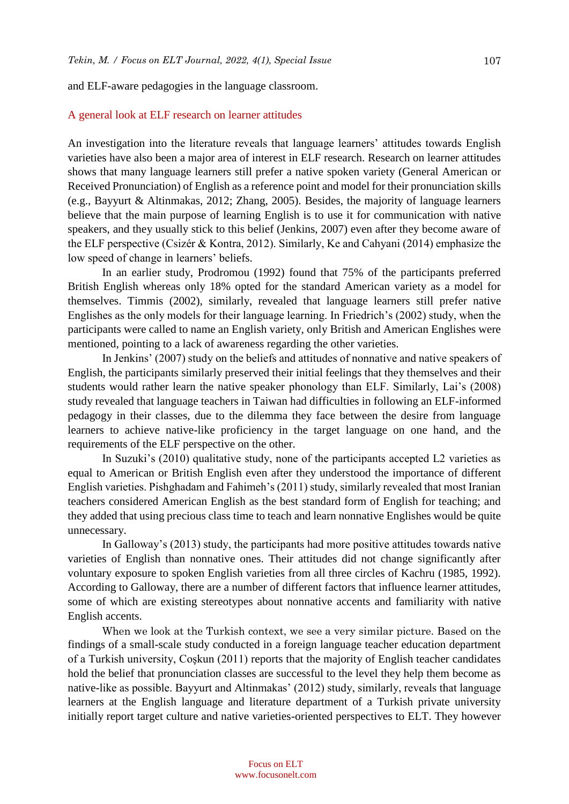and ELF-aware pedagogies in the language classroom.

#### A general look at ELF research on learner attitudes

An investigation into the literature reveals that language learners' attitudes towards English varieties have also been a major area of interest in ELF research. Research on learner attitudes shows that many language learners still prefer a native spoken variety (General American or Received Pronunciation) of English as a reference point and model for their pronunciation skills (e.g., Bayyurt & Altinmakas, 2012; Zhang, 2005). Besides, the majority of language learners believe that the main purpose of learning English is to use it for communication with native speakers, and they usually stick to this belief (Jenkins, 2007) even after they become aware of the ELF perspective (Csizér & Kontra, 2012). Similarly, Ke and Cahyani (2014) emphasize the low speed of change in learners' beliefs.

In an earlier study, Prodromou (1992) found that 75% of the participants preferred British English whereas only 18% opted for the standard American variety as a model for themselves. Timmis (2002), similarly, revealed that language learners still prefer native Englishes as the only models for their language learning. In Friedrich's (2002) study, when the participants were called to name an English variety, only British and American Englishes were mentioned, pointing to a lack of awareness regarding the other varieties.

In Jenkins' (2007) study on the beliefs and attitudes of nonnative and native speakers of English, the participants similarly preserved their initial feelings that they themselves and their students would rather learn the native speaker phonology than ELF. Similarly, Lai's (2008) study revealed that language teachers in Taiwan had difficulties in following an ELF-informed pedagogy in their classes, due to the dilemma they face between the desire from language learners to achieve native-like proficiency in the target language on one hand, and the requirements of the ELF perspective on the other.

In Suzuki's (2010) qualitative study, none of the participants accepted L2 varieties as equal to American or British English even after they understood the importance of different English varieties. Pishghadam and Fahimeh's (2011) study, similarly revealed that most Iranian teachers considered American English as the best standard form of English for teaching; and they added that using precious class time to teach and learn nonnative Englishes would be quite unnecessary.

In Galloway's (2013) study, the participants had more positive attitudes towards native varieties of English than nonnative ones. Their attitudes did not change significantly after voluntary exposure to spoken English varieties from all three circles of Kachru (1985, 1992). According to Galloway, there are a number of different factors that influence learner attitudes, some of which are existing stereotypes about nonnative accents and familiarity with native English accents.

When we look at the Turkish context, we see a very similar picture. Based on the findings of a small-scale study conducted in a foreign language teacher education department of a Turkish university, Coşkun (2011) reports that the majority of English teacher candidates hold the belief that pronunciation classes are successful to the level they help them become as native-like as possible. Bayyurt and Altinmakas' (2012) study, similarly, reveals that language learners at the English language and literature department of a Turkish private university initially report target culture and native varieties-oriented perspectives to ELT. They however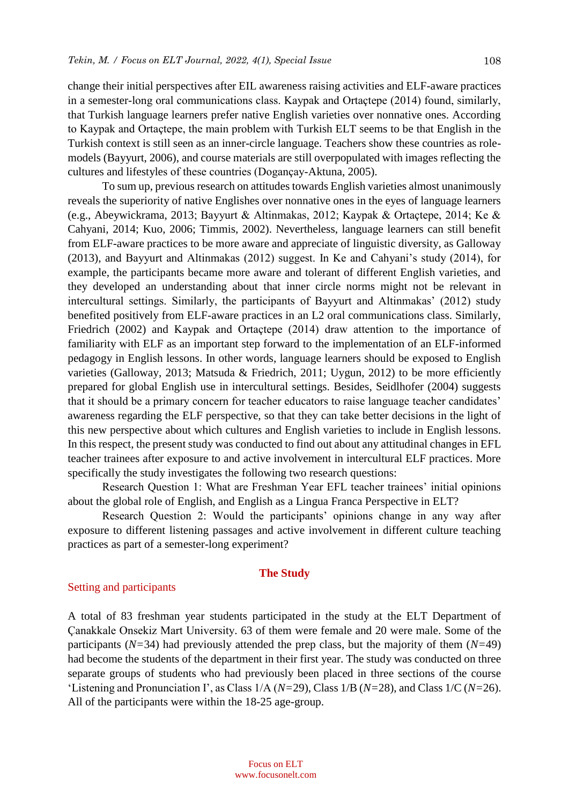change their initial perspectives after EIL awareness raising activities and ELF-aware practices in a semester-long oral communications class. Kaypak and Ortaçtepe (2014) found, similarly, that Turkish language learners prefer native English varieties over nonnative ones. According to Kaypak and Ortaçtepe, the main problem with Turkish ELT seems to be that English in the Turkish context is still seen as an inner-circle language. Teachers show these countries as rolemodels (Bayyurt, 2006), and course materials are still overpopulated with images reflecting the cultures and lifestyles of these countries (Dogançay-Aktuna, 2005).

To sum up, previous research on attitudes towards English varieties almost unanimously reveals the superiority of native Englishes over nonnative ones in the eyes of language learners (e.g., Abeywickrama, 2013; Bayyurt & Altinmakas, 2012; Kaypak & Ortaçtepe, 2014; Ke & Cahyani, 2014; Kuo, 2006; Timmis, 2002). Nevertheless, language learners can still benefit from ELF-aware practices to be more aware and appreciate of linguistic diversity, as Galloway (2013), and Bayyurt and Altinmakas (2012) suggest. In Ke and Cahyani's study (2014), for example, the participants became more aware and tolerant of different English varieties, and they developed an understanding about that inner circle norms might not be relevant in intercultural settings. Similarly, the participants of Bayyurt and Altinmakas' (2012) study benefited positively from ELF-aware practices in an L2 oral communications class. Similarly, Friedrich (2002) and Kaypak and Ortaçtepe (2014) draw attention to the importance of familiarity with ELF as an important step forward to the implementation of an ELF-informed pedagogy in English lessons. In other words, language learners should be exposed to English varieties (Galloway, 2013; Matsuda & Friedrich, 2011; Uygun, 2012) to be more efficiently prepared for global English use in intercultural settings. Besides, Seidlhofer (2004) suggests that it should be a primary concern for teacher educators to raise language teacher candidates' awareness regarding the ELF perspective, so that they can take better decisions in the light of this new perspective about which cultures and English varieties to include in English lessons. In this respect, the present study was conducted to find out about any attitudinal changes in EFL teacher trainees after exposure to and active involvement in intercultural ELF practices. More specifically the study investigates the following two research questions:

Research Question 1: What are Freshman Year EFL teacher trainees' initial opinions about the global role of English, and English as a Lingua Franca Perspective in ELT?

Research Question 2: Would the participants' opinions change in any way after exposure to different listening passages and active involvement in different culture teaching practices as part of a semester-long experiment?

#### **The Study**

#### Setting and participants

A total of 83 freshman year students participated in the study at the ELT Department of Çanakkale Onsekiz Mart University. 63 of them were female and 20 were male. Some of the participants (*N=*34) had previously attended the prep class, but the majority of them (*N=*49) had become the students of the department in their first year. The study was conducted on three separate groups of students who had previously been placed in three sections of the course 'Listening and Pronunciation I', as Class 1/A (*N=*29), Class 1/B (*N=*28), and Class 1/C (*N=*26). All of the participants were within the 18-25 age-group.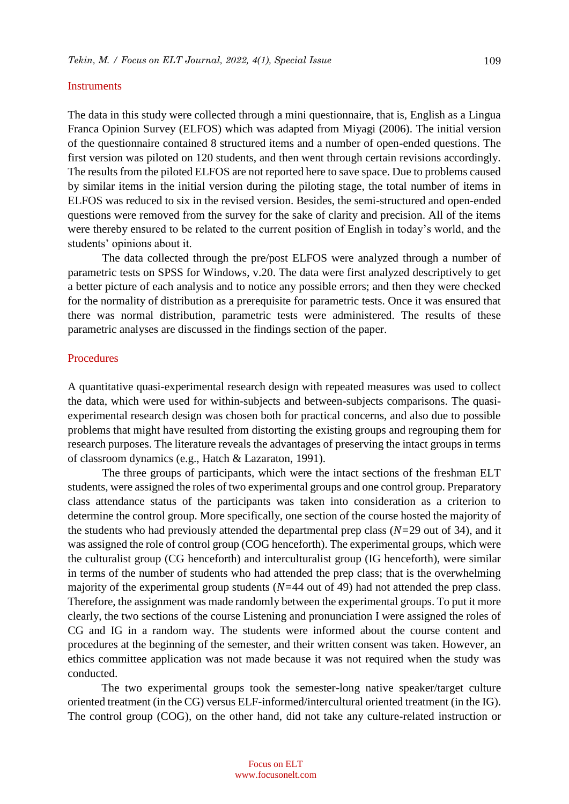#### **Instruments**

The data in this study were collected through a mini questionnaire, that is, English as a Lingua Franca Opinion Survey (ELFOS) which was adapted from Miyagi (2006). The initial version of the questionnaire contained 8 structured items and a number of open-ended questions. The first version was piloted on 120 students, and then went through certain revisions accordingly. The results from the piloted ELFOS are not reported here to save space. Due to problems caused by similar items in the initial version during the piloting stage, the total number of items in ELFOS was reduced to six in the revised version. Besides, the semi-structured and open-ended questions were removed from the survey for the sake of clarity and precision. All of the items were thereby ensured to be related to the current position of English in today's world, and the students' opinions about it.

The data collected through the pre/post ELFOS were analyzed through a number of parametric tests on SPSS for Windows, v.20. The data were first analyzed descriptively to get a better picture of each analysis and to notice any possible errors; and then they were checked for the normality of distribution as a prerequisite for parametric tests. Once it was ensured that there was normal distribution, parametric tests were administered. The results of these parametric analyses are discussed in the findings section of the paper.

#### Procedures

A quantitative quasi-experimental research design with repeated measures was used to collect the data, which were used for within-subjects and between-subjects comparisons. The quasiexperimental research design was chosen both for practical concerns, and also due to possible problems that might have resulted from distorting the existing groups and regrouping them for research purposes. The literature reveals the advantages of preserving the intact groups in terms of classroom dynamics (e.g., Hatch & Lazaraton, 1991).

The three groups of participants, which were the intact sections of the freshman ELT students, were assigned the roles of two experimental groups and one control group. Preparatory class attendance status of the participants was taken into consideration as a criterion to determine the control group. More specifically, one section of the course hosted the majority of the students who had previously attended the departmental prep class (*N=*29 out of 34), and it was assigned the role of control group (COG henceforth). The experimental groups, which were the culturalist group (CG henceforth) and interculturalist group (IG henceforth), were similar in terms of the number of students who had attended the prep class; that is the overwhelming majority of the experimental group students (*N=*44 out of 49) had not attended the prep class. Therefore, the assignment was made randomly between the experimental groups. To put it more clearly, the two sections of the course Listening and pronunciation I were assigned the roles of CG and IG in a random way. The students were informed about the course content and procedures at the beginning of the semester, and their written consent was taken. However, an ethics committee application was not made because it was not required when the study was conducted.

The two experimental groups took the semester-long native speaker/target culture oriented treatment (in the CG) versus ELF-informed/intercultural oriented treatment (in the IG). The control group (COG), on the other hand, did not take any culture-related instruction or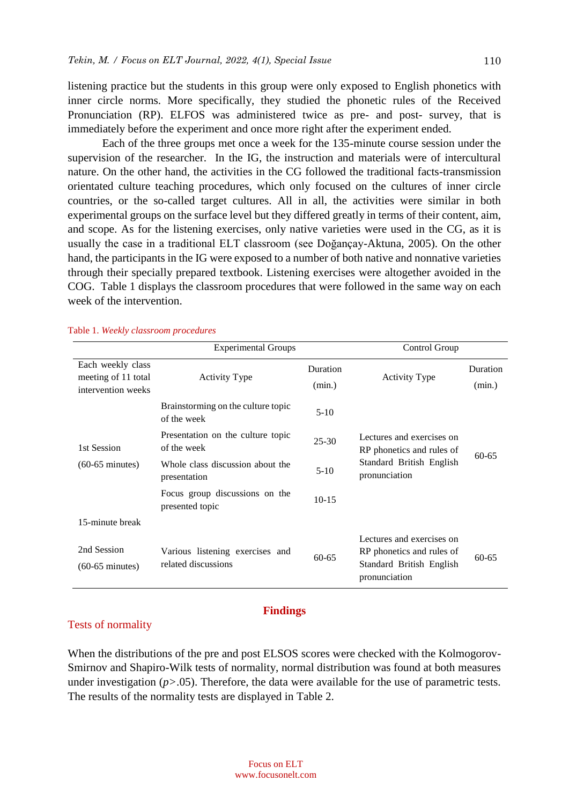listening practice but the students in this group were only exposed to English phonetics with inner circle norms. More specifically, they studied the phonetic rules of the Received Pronunciation (RP). ELFOS was administered twice as pre- and post- survey, that is immediately before the experiment and once more right after the experiment ended.

Each of the three groups met once a week for the 135-minute course session under the supervision of the researcher. In the IG, the instruction and materials were of intercultural nature. On the other hand, the activities in the CG followed the traditional facts-transmission orientated culture teaching procedures, which only focused on the cultures of inner circle countries, or the so-called target cultures. All in all, the activities were similar in both experimental groups on the surface level but they differed greatly in terms of their content, aim, and scope. As for the listening exercises, only native varieties were used in the CG, as it is usually the case in a traditional ELT classroom (see Doğançay-Aktuna, 2005). On the other hand, the participants in the IG were exposed to a number of both native and nonnative varieties through their specially prepared textbook. Listening exercises were altogether avoided in the COG. Table 1 displays the classroom procedures that were followed in the same way on each week of the intervention.

|                                                                | <b>Experimental Groups</b>                             |                    | Control Group                                                                                       |                    |  |
|----------------------------------------------------------------|--------------------------------------------------------|--------------------|-----------------------------------------------------------------------------------------------------|--------------------|--|
| Each weekly class<br>meeting of 11 total<br>intervention weeks | <b>Activity Type</b>                                   | Duration<br>(min.) | <b>Activity Type</b>                                                                                | Duration<br>(min.) |  |
|                                                                | Brainstorming on the culture topic<br>of the week      | $5-10$             |                                                                                                     |                    |  |
| 1st Session                                                    | Presentation on the culture topic<br>of the week       | $25 - 30$          | Lectures and exercises on<br>RP phonetics and rules of                                              |                    |  |
| $(60-65 \text{ minutes})$                                      | Whole class discussion about the<br>presentation       | $5-10$             | Standard British English<br>pronunciation                                                           | $60 - 65$          |  |
|                                                                | Focus group discussions on the<br>presented topic      | $10 - 15$          |                                                                                                     |                    |  |
| 15-minute break                                                |                                                        |                    |                                                                                                     |                    |  |
| 2nd Session<br>$(60-65 \text{ minutes})$                       | Various listening exercises and<br>related discussions | $60 - 65$          | Lectures and exercises on<br>RP phonetics and rules of<br>Standard British English<br>pronunciation | $60 - 65$          |  |

#### Table 1. *Weekly classroom procedures*

#### **Findings**

#### Tests of normality

When the distributions of the pre and post ELSOS scores were checked with the Kolmogorov-Smirnov and Shapiro-Wilk tests of normality, normal distribution was found at both measures under investigation (*p*>.05). Therefore, the data were available for the use of parametric tests. The results of the normality tests are displayed in Table 2.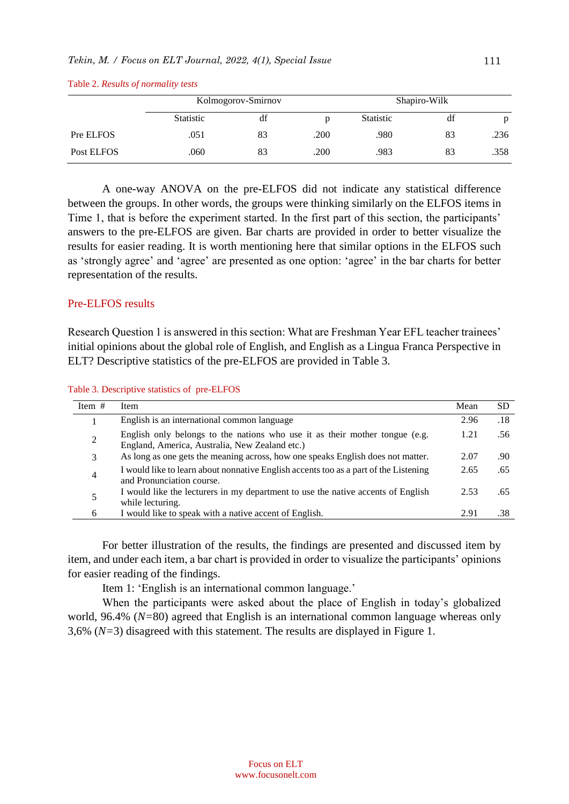|            | Kolmogorov-Smirnov |    | Shapiro-Wilk |                  |    |      |
|------------|--------------------|----|--------------|------------------|----|------|
|            | <b>Statistic</b>   | df |              | <b>Statistic</b> | df | p    |
| Pre ELFOS  | .051               | 83 | .200         | .980             | 83 | .236 |
| Post ELFOS | .060               | 83 | .200         | .983             | 83 | .358 |

Table 2. *Results of normality tests*

A one-way ANOVA on the pre-ELFOS did not indicate any statistical difference between the groups. In other words, the groups were thinking similarly on the ELFOS items in Time 1, that is before the experiment started. In the first part of this section, the participants' answers to the pre-ELFOS are given. Bar charts are provided in order to better visualize the results for easier reading. It is worth mentioning here that similar options in the ELFOS such as 'strongly agree' and 'agree' are presented as one option: 'agree' in the bar charts for better representation of the results.

#### Pre-ELFOS results

Research Question 1 is answered in this section: What are Freshman Year EFL teacher trainees' initial opinions about the global role of English, and English as a Lingua Franca Perspective in ELT? Descriptive statistics of the pre-ELFOS are provided in Table 3.

Table 3. Descriptive statistics of pre-ELFOS

| Item $#$ | Item                                                                                                                          | Mean | SD.  |
|----------|-------------------------------------------------------------------------------------------------------------------------------|------|------|
|          | English is an international common language                                                                                   | 2.96 | .18  |
| 2        | English only belongs to the nations who use it as their mother tongue (e.g.<br>England, America, Australia, New Zealand etc.) | 1.21 | .56. |
| 3        | As long as one gets the meaning across, how one speaks English does not matter.                                               | 2.07 | .90  |
| 4        | I would like to learn about nonnative English accents too as a part of the Listening<br>and Pronunciation course.             | 2.65 | .65  |
|          | I would like the lecturers in my department to use the native accents of English<br>while lecturing.                          | 2.53 | .65  |
| 6        | I would like to speak with a native accent of English.                                                                        | 2.91 | .38  |

For better illustration of the results, the findings are presented and discussed item by item, and under each item, a bar chart is provided in order to visualize the participants' opinions for easier reading of the findings.

Item 1: 'English is an international common language.'

When the participants were asked about the place of English in today's globalized world, 96.4% (*N=*80) agreed that English is an international common language whereas only 3,6% (*N=*3) disagreed with this statement. The results are displayed in Figure 1.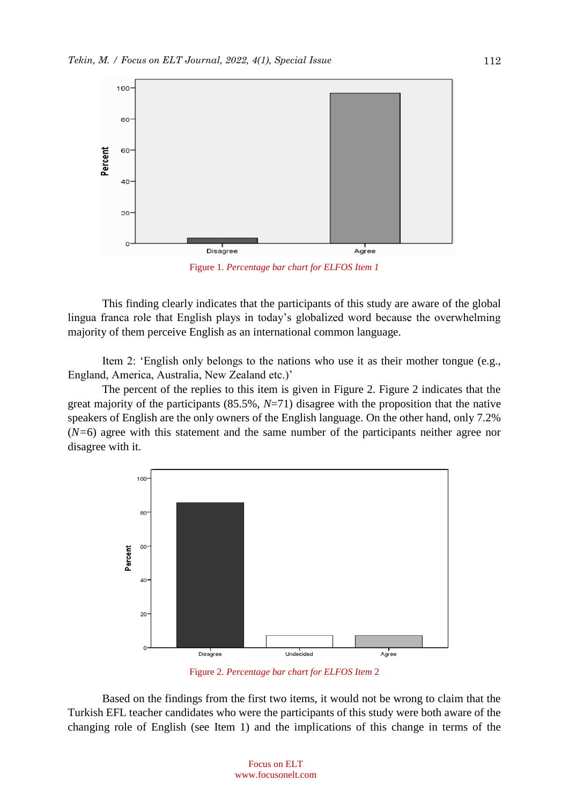

Figure 1. *Percentage bar chart for ELFOS Item 1*

This finding clearly indicates that the participants of this study are aware of the global lingua franca role that English plays in today's globalized word because the overwhelming majority of them perceive English as an international common language.

Item 2: 'English only belongs to the nations who use it as their mother tongue (e.g., England, America, Australia, New Zealand etc.)'

The percent of the replies to this item is given in Figure 2. Figure 2 indicates that the great majority of the participants (85.5%, *N*=71) disagree with the proposition that the native speakers of English are the only owners of the English language. On the other hand, only 7.2% (*N=*6) agree with this statement and the same number of the participants neither agree nor disagree with it.



Figure 2. *Percentage bar chart for ELFOS Item* 2

Based on the findings from the first two items, it would not be wrong to claim that the Turkish EFL teacher candidates who were the participants of this study were both aware of the changing role of English (see Item 1) and the implications of this change in terms of the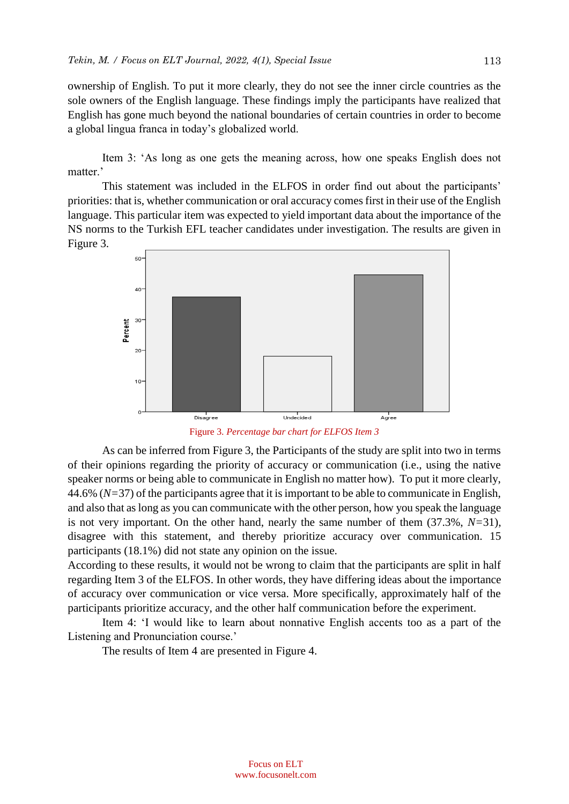ownership of English. To put it more clearly, they do not see the inner circle countries as the sole owners of the English language. These findings imply the participants have realized that English has gone much beyond the national boundaries of certain countries in order to become a global lingua franca in today's globalized world.

Item 3: 'As long as one gets the meaning across, how one speaks English does not matter.'

This statement was included in the ELFOS in order find out about the participants' priorities: that is, whether communication or oral accuracy comes first in their use of the English language. This particular item was expected to yield important data about the importance of the NS norms to the Turkish EFL teacher candidates under investigation. The results are given in Figure 3.



Figure 3. *Percentage bar chart for ELFOS Item 3*

As can be inferred from Figure 3, the Participants of the study are split into two in terms of their opinions regarding the priority of accuracy or communication (i.e., using the native speaker norms or being able to communicate in English no matter how). To put it more clearly, 44.6% (*N=*37) of the participants agree that it is important to be able to communicate in English, and also that as long as you can communicate with the other person, how you speak the language is not very important. On the other hand, nearly the same number of them (37.3%, *N=*31), disagree with this statement, and thereby prioritize accuracy over communication. 15 participants (18.1%) did not state any opinion on the issue.

According to these results, it would not be wrong to claim that the participants are split in half regarding Item 3 of the ELFOS. In other words, they have differing ideas about the importance of accuracy over communication or vice versa. More specifically, approximately half of the participants prioritize accuracy, and the other half communication before the experiment.

Item 4: 'I would like to learn about nonnative English accents too as a part of the Listening and Pronunciation course.'

The results of Item 4 are presented in Figure 4.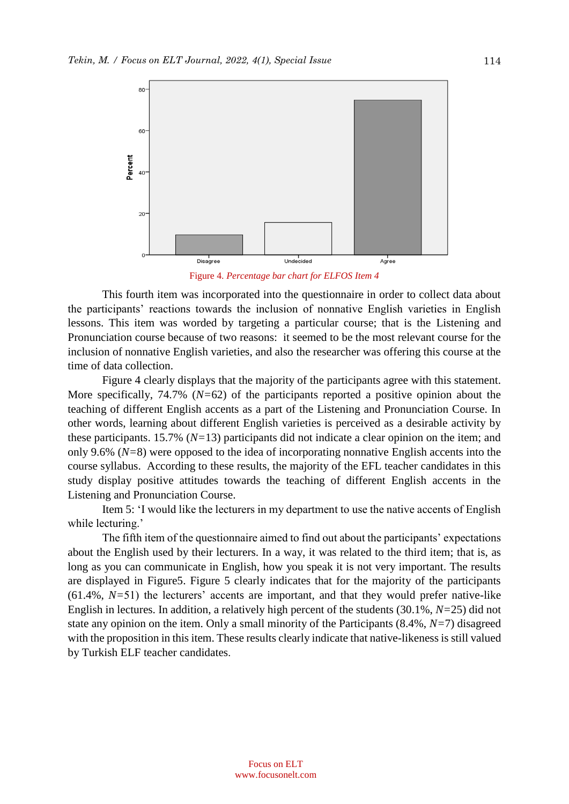

Figure 4. *Percentage bar chart for ELFOS Item 4*

This fourth item was incorporated into the questionnaire in order to collect data about the participants' reactions towards the inclusion of nonnative English varieties in English lessons. This item was worded by targeting a particular course; that is the Listening and Pronunciation course because of two reasons: it seemed to be the most relevant course for the inclusion of nonnative English varieties, and also the researcher was offering this course at the time of data collection.

Figure 4 clearly displays that the majority of the participants agree with this statement. More specifically, 74.7% (*N=*62) of the participants reported a positive opinion about the teaching of different English accents as a part of the Listening and Pronunciation Course. In other words, learning about different English varieties is perceived as a desirable activity by these participants. 15.7% (*N=*13) participants did not indicate a clear opinion on the item; and only 9.6% (*N=*8) were opposed to the idea of incorporating nonnative English accents into the course syllabus. According to these results, the majority of the EFL teacher candidates in this study display positive attitudes towards the teaching of different English accents in the Listening and Pronunciation Course.

Item 5: 'I would like the lecturers in my department to use the native accents of English while lecturing.'

The fifth item of the questionnaire aimed to find out about the participants' expectations about the English used by their lecturers. In a way, it was related to the third item; that is, as long as you can communicate in English, how you speak it is not very important. The results are displayed in Figure5. Figure 5 clearly indicates that for the majority of the participants (61.4%, *N=*51) the lecturers' accents are important, and that they would prefer native-like English in lectures. In addition, a relatively high percent of the students (30.1%, *N=*25) did not state any opinion on the item. Only a small minority of the Participants (8.4%, *N=*7) disagreed with the proposition in this item. These results clearly indicate that native-likeness is still valued by Turkish ELF teacher candidates.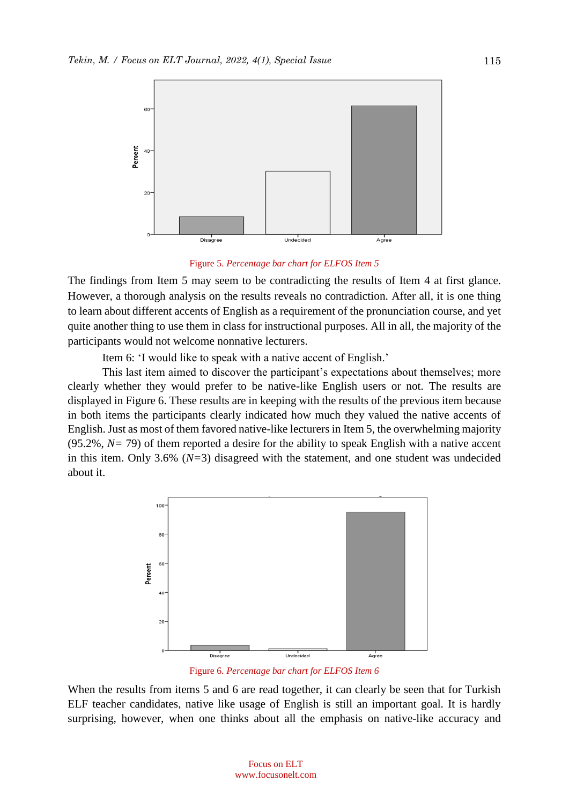

#### Figure 5. *Percentage bar chart for ELFOS Item 5*

The findings from Item 5 may seem to be contradicting the results of Item 4 at first glance. However, a thorough analysis on the results reveals no contradiction. After all, it is one thing to learn about different accents of English as a requirement of the pronunciation course, and yet quite another thing to use them in class for instructional purposes. All in all, the majority of the participants would not welcome nonnative lecturers.

Item 6: 'I would like to speak with a native accent of English.'

This last item aimed to discover the participant's expectations about themselves; more clearly whether they would prefer to be native-like English users or not. The results are displayed in Figure 6. These results are in keeping with the results of the previous item because in both items the participants clearly indicated how much they valued the native accents of English. Just as most of them favored native-like lecturers in Item 5, the overwhelming majority (95.2%, *N=* 79) of them reported a desire for the ability to speak English with a native accent in this item. Only 3.6% (*N=*3) disagreed with the statement, and one student was undecided about it.



Figure 6. *Percentage bar chart for ELFOS Item 6*

When the results from items 5 and 6 are read together, it can clearly be seen that for Turkish ELF teacher candidates, native like usage of English is still an important goal. It is hardly surprising, however, when one thinks about all the emphasis on native-like accuracy and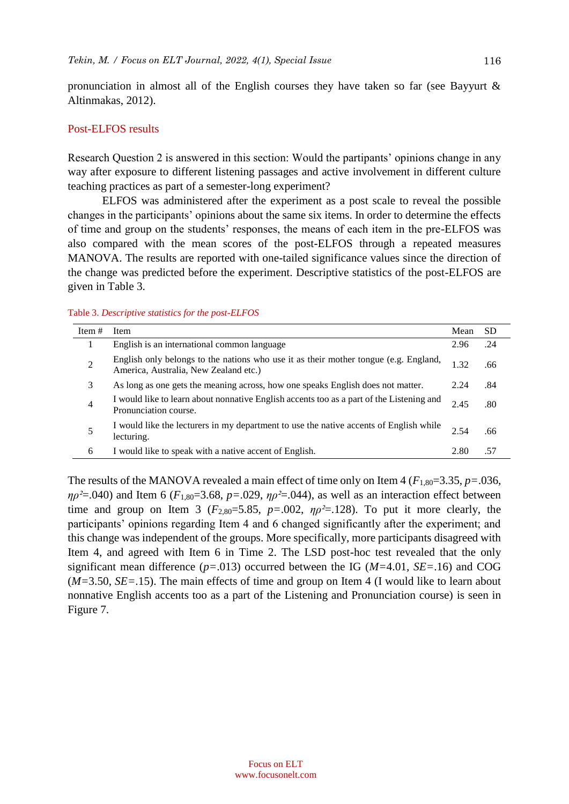pronunciation in almost all of the English courses they have taken so far (see Bayyurt & Altinmakas, 2012).

#### Post-ELFOS results

Research Question 2 is answered in this section: Would the partipants' opinions change in any way after exposure to different listening passages and active involvement in different culture teaching practices as part of a semester-long experiment?

ELFOS was administered after the experiment as a post scale to reveal the possible changes in the participants' opinions about the same six items. In order to determine the effects of time and group on the students' responses, the means of each item in the pre-ELFOS was also compared with the mean scores of the post-ELFOS through a repeated measures MANOVA. The results are reported with one-tailed significance values since the direction of the change was predicted before the experiment. Descriptive statistics of the post-ELFOS are given in Table 3.

|  |  | Table 3. Descriptive statistics for the post-ELFOS |  |  |
|--|--|----------------------------------------------------|--|--|
|--|--|----------------------------------------------------|--|--|

| Item $#$       | Item                                                                                                                          | Mean | <b>SD</b> |
|----------------|-------------------------------------------------------------------------------------------------------------------------------|------|-----------|
|                | English is an international common language                                                                                   | 2.96 | .24       |
| $\overline{2}$ | English only belongs to the nations who use it as their mother tongue (e.g. England,<br>America, Australia, New Zealand etc.) | 1.32 | .66       |
| 3              | As long as one gets the meaning across, how one speaks English does not matter.                                               | 2.24 | .84       |
| $\overline{4}$ | I would like to learn about nonnative English accents too as a part of the Listening and<br>Pronunciation course.             | 2.45 | .80       |
| 5              | I would like the lecturers in my department to use the native accents of English while<br>lecturing.                          | 2.54 | .66       |
| 6              | I would like to speak with a native accent of English.                                                                        | 2.80 | .57       |

The results of the MANOVA revealed a main effect of time only on Item  $4$  ( $F_{1,80}=3.35$ ,  $p=.036$ ,  $\eta \rho^2 = 0.040$ ) and Item 6 ( $F_{1,80} = 3.68$ ,  $p = .029$ ,  $\eta \rho^2 = .044$ ), as well as an interaction effect between time and group on Item 3 ( $F_{2,80}=5.85$ ,  $p=.002$ ,  $\eta p^2=.128$ ). To put it more clearly, the participants' opinions regarding Item 4 and 6 changed significantly after the experiment; and this change was independent of the groups. More specifically, more participants disagreed with Item 4, and agreed with Item 6 in Time 2. The LSD post-hoc test revealed that the only significant mean difference (*p=*.013) occurred between the IG (*M=*4.01, *SE=*.16) and COG (*M=*3.50, *SE=*.15). The main effects of time and group on Item 4 (I would like to learn about nonnative English accents too as a part of the Listening and Pronunciation course) is seen in Figure 7.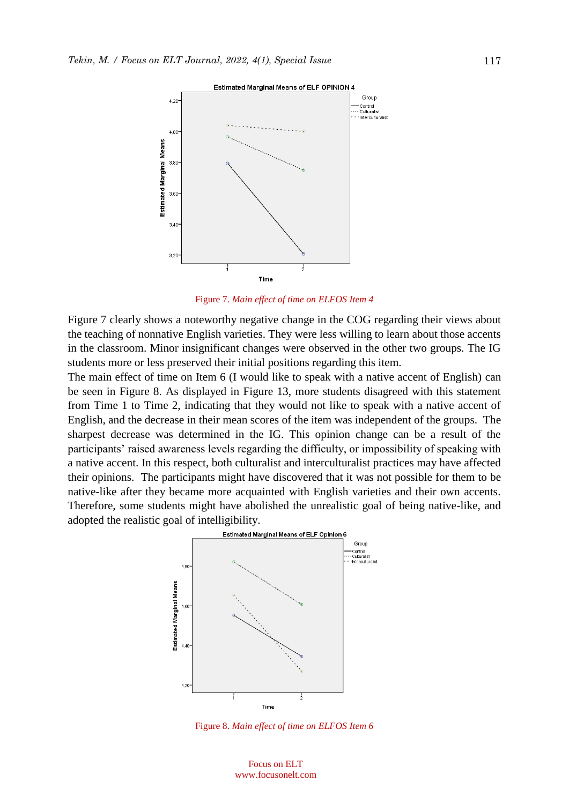

Figure 7. *Main effect of time on ELFOS Item 4*

Figure 7 clearly shows a noteworthy negative change in the COG regarding their views about the teaching of nonnative English varieties. They were less willing to learn about those accents in the classroom. Minor insignificant changes were observed in the other two groups. The IG students more or less preserved their initial positions regarding this item.

The main effect of time on Item 6 (I would like to speak with a native accent of English) can be seen in Figure 8. As displayed in Figure 13, more students disagreed with this statement from Time 1 to Time 2, indicating that they would not like to speak with a native accent of English, and the decrease in their mean scores of the item was independent of the groups. The sharpest decrease was determined in the IG. This opinion change can be a result of the participants' raised awareness levels regarding the difficulty, or impossibility of speaking with a native accent. In this respect, both culturalist and interculturalist practices may have affected their opinions. The participants might have discovered that it was not possible for them to be native-like after they became more acquainted with English varieties and their own accents. Therefore, some students might have abolished the unrealistic goal of being native-like, and adopted the realistic goal of intelligibility.



Figure 8. *Main effect of time on ELFOS Item 6*

117

Focus on ELT www.focusonelt.com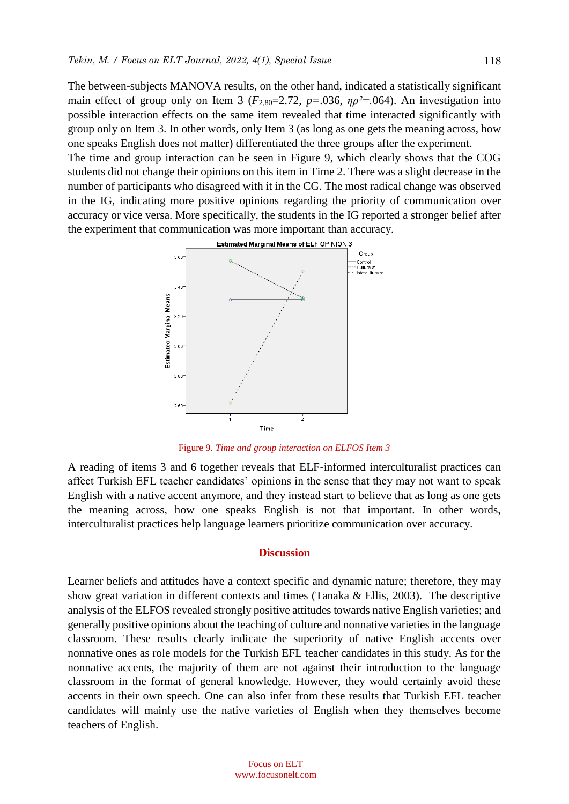The between-subjects MANOVA results, on the other hand, indicated a statistically significant main effect of group only on Item 3 ( $F_{2,80}=2.72$ ,  $p=.036$ ,  $n\rho^2=.064$ ). An investigation into possible interaction effects on the same item revealed that time interacted significantly with group only on Item 3. In other words, only Item 3 (as long as one gets the meaning across, how one speaks English does not matter) differentiated the three groups after the experiment.

The time and group interaction can be seen in Figure 9, which clearly shows that the COG students did not change their opinions on this item in Time 2. There was a slight decrease in the number of participants who disagreed with it in the CG. The most radical change was observed in the IG, indicating more positive opinions regarding the priority of communication over accuracy or vice versa. More specifically, the students in the IG reported a stronger belief after the experiment that communication was more important than accuracy.



Figure 9. *Time and group interaction on ELFOS Item 3*

A reading of items 3 and 6 together reveals that ELF-informed interculturalist practices can affect Turkish EFL teacher candidates' opinions in the sense that they may not want to speak English with a native accent anymore, and they instead start to believe that as long as one gets the meaning across, how one speaks English is not that important. In other words, interculturalist practices help language learners prioritize communication over accuracy.

#### **Discussion**

Learner beliefs and attitudes have a context specific and dynamic nature; therefore, they may show great variation in different contexts and times (Tanaka & Ellis, 2003). The descriptive analysis of the ELFOS revealed strongly positive attitudes towards native English varieties; and generally positive opinions about the teaching of culture and nonnative varieties in the language classroom. These results clearly indicate the superiority of native English accents over nonnative ones as role models for the Turkish EFL teacher candidates in this study. As for the nonnative accents, the majority of them are not against their introduction to the language classroom in the format of general knowledge. However, they would certainly avoid these accents in their own speech. One can also infer from these results that Turkish EFL teacher candidates will mainly use the native varieties of English when they themselves become teachers of English.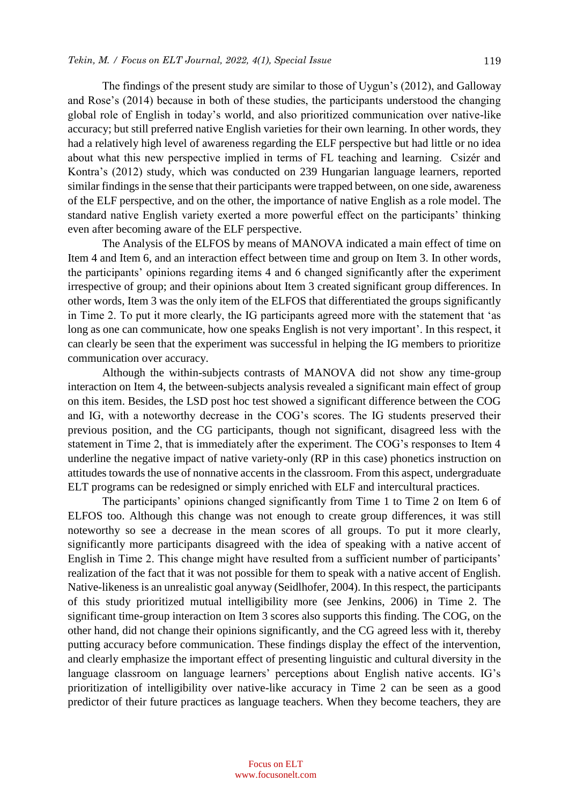The findings of the present study are similar to those of Uygun's (2012), and Galloway and Rose's (2014) because in both of these studies, the participants understood the changing global role of English in today's world, and also prioritized communication over native-like accuracy; but still preferred native English varieties for their own learning. In other words, they had a relatively high level of awareness regarding the ELF perspective but had little or no idea about what this new perspective implied in terms of FL teaching and learning. Csizér and Kontra's (2012) study, which was conducted on 239 Hungarian language learners, reported similar findings in the sense that their participants were trapped between, on one side, awareness of the ELF perspective, and on the other, the importance of native English as a role model. The standard native English variety exerted a more powerful effect on the participants' thinking even after becoming aware of the ELF perspective.

The Analysis of the ELFOS by means of MANOVA indicated a main effect of time on Item 4 and Item 6, and an interaction effect between time and group on Item 3. In other words, the participants' opinions regarding items 4 and 6 changed significantly after the experiment irrespective of group; and their opinions about Item 3 created significant group differences. In other words, Item 3 was the only item of the ELFOS that differentiated the groups significantly in Time 2. To put it more clearly, the IG participants agreed more with the statement that 'as long as one can communicate, how one speaks English is not very important'. In this respect, it can clearly be seen that the experiment was successful in helping the IG members to prioritize communication over accuracy.

Although the within-subjects contrasts of MANOVA did not show any time-group interaction on Item 4, the between-subjects analysis revealed a significant main effect of group on this item. Besides, the LSD post hoc test showed a significant difference between the COG and IG, with a noteworthy decrease in the COG's scores. The IG students preserved their previous position, and the CG participants, though not significant, disagreed less with the statement in Time 2, that is immediately after the experiment. The COG's responses to Item 4 underline the negative impact of native variety-only (RP in this case) phonetics instruction on attitudes towards the use of nonnative accents in the classroom. From this aspect, undergraduate ELT programs can be redesigned or simply enriched with ELF and intercultural practices.

The participants' opinions changed significantly from Time 1 to Time 2 on Item 6 of ELFOS too. Although this change was not enough to create group differences, it was still noteworthy so see a decrease in the mean scores of all groups. To put it more clearly, significantly more participants disagreed with the idea of speaking with a native accent of English in Time 2. This change might have resulted from a sufficient number of participants' realization of the fact that it was not possible for them to speak with a native accent of English. Native-likeness is an unrealistic goal anyway (Seidlhofer, 2004). In this respect, the participants of this study prioritized mutual intelligibility more (see Jenkins, 2006) in Time 2. The significant time-group interaction on Item 3 scores also supports this finding. The COG, on the other hand, did not change their opinions significantly, and the CG agreed less with it, thereby putting accuracy before communication. These findings display the effect of the intervention, and clearly emphasize the important effect of presenting linguistic and cultural diversity in the language classroom on language learners' perceptions about English native accents. IG's prioritization of intelligibility over native-like accuracy in Time 2 can be seen as a good predictor of their future practices as language teachers. When they become teachers, they are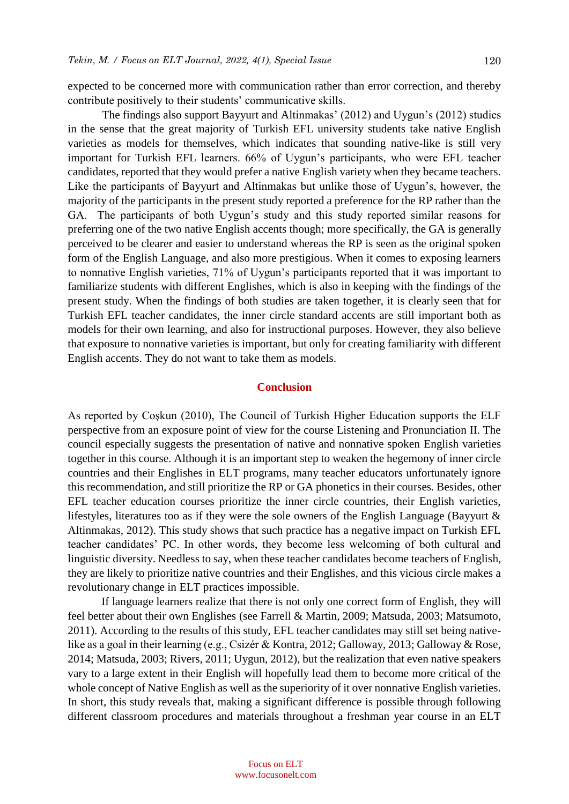expected to be concerned more with communication rather than error correction, and thereby contribute positively to their students' communicative skills.

The findings also support Bayyurt and Altinmakas' (2012) and Uygun's (2012) studies in the sense that the great majority of Turkish EFL university students take native English varieties as models for themselves, which indicates that sounding native-like is still very important for Turkish EFL learners. 66% of Uygun's participants, who were EFL teacher candidates, reported that they would prefer a native English variety when they became teachers. Like the participants of Bayyurt and Altinmakas but unlike those of Uygun's, however, the majority of the participants in the present study reported a preference for the RP rather than the GA. The participants of both Uygun's study and this study reported similar reasons for preferring one of the two native English accents though; more specifically, the GA is generally perceived to be clearer and easier to understand whereas the RP is seen as the original spoken form of the English Language, and also more prestigious. When it comes to exposing learners to nonnative English varieties, 71% of Uygun's participants reported that it was important to familiarize students with different Englishes, which is also in keeping with the findings of the present study. When the findings of both studies are taken together, it is clearly seen that for Turkish EFL teacher candidates, the inner circle standard accents are still important both as models for their own learning, and also for instructional purposes. However, they also believe that exposure to nonnative varieties is important, but only for creating familiarity with different English accents. They do not want to take them as models.

#### **Conclusion**

As reported by Coşkun (2010), The Council of Turkish Higher Education supports the ELF perspective from an exposure point of view for the course Listening and Pronunciation II. The council especially suggests the presentation of native and nonnative spoken English varieties together in this course. Although it is an important step to weaken the hegemony of inner circle countries and their Englishes in ELT programs, many teacher educators unfortunately ignore this recommendation, and still prioritize the RP or GA phonetics in their courses. Besides, other EFL teacher education courses prioritize the inner circle countries, their English varieties, lifestyles, literatures too as if they were the sole owners of the English Language (Bayyurt & Altinmakas, 2012). This study shows that such practice has a negative impact on Turkish EFL teacher candidates' PC. In other words, they become less welcoming of both cultural and linguistic diversity. Needless to say, when these teacher candidates become teachers of English, they are likely to prioritize native countries and their Englishes, and this vicious circle makes a revolutionary change in ELT practices impossible.

If language learners realize that there is not only one correct form of English, they will feel better about their own Englishes (see Farrell & Martin, 2009; Matsuda, 2003; Matsumoto, 2011). According to the results of this study, EFL teacher candidates may still set being nativelike as a goal in their learning (e.g., Csizér & Kontra, 2012; Galloway, 2013; Galloway & Rose, 2014; Matsuda, 2003; Rivers, 2011; Uygun, 2012), but the realization that even native speakers vary to a large extent in their English will hopefully lead them to become more critical of the whole concept of Native English as well as the superiority of it over nonnative English varieties. In short, this study reveals that, making a significant difference is possible through following different classroom procedures and materials throughout a freshman year course in an ELT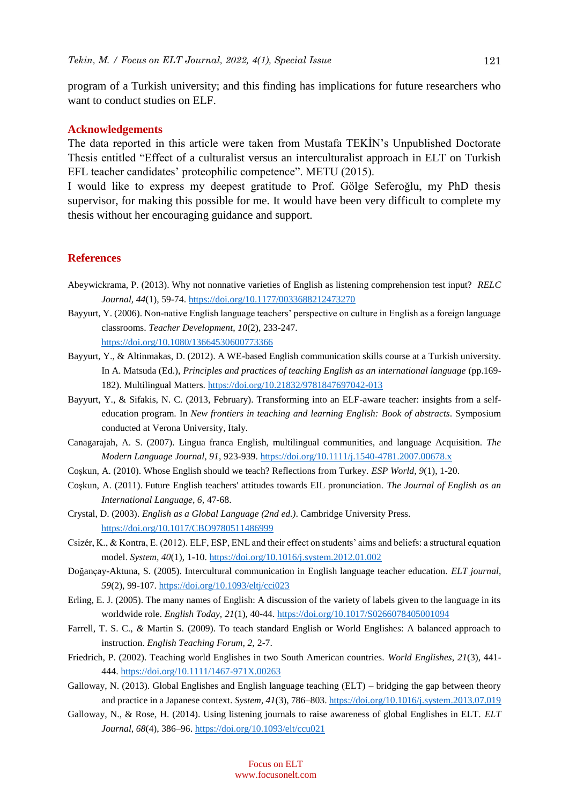program of a Turkish university; and this finding has implications for future researchers who want to conduct studies on ELF.

#### **Acknowledgements**

The data reported in this article were taken from Mustafa TEKİN's Unpublished Doctorate Thesis entitled "Effect of a culturalist versus an interculturalist approach in ELT on Turkish EFL teacher candidates' proteophilic competence". METU (2015).

I would like to express my deepest gratitude to Prof. Gölge Seferoğlu, my PhD thesis supervisor, for making this possible for me. It would have been very difficult to complete my thesis without her encouraging guidance and support.

#### **References**

- Abeywickrama, P. (2013). Why not nonnative varieties of English as listening comprehension test input? *RELC Journal, 44*(1), 59-74.<https://doi.org/10.1177/0033688212473270>
- Bayyurt, Y. (2006). Non-native English language teachers' perspective on culture in English as a foreign language classrooms. *Teacher Development*, *10*(2), 233-247.

<https://doi.org/10.1080/13664530600773366>

- Bayyurt, Y., & Altinmakas, D. (2012). A WE-based English communication skills course at a Turkish university. In A. Matsuda (Ed.), *Principles and practices of teaching English as an international language* (pp.169- 182). Multilingual Matters. <https://doi.org/10.21832/9781847697042-013>
- Bayyurt, Y., & Sifakis, N. C. (2013, February). Transforming into an ELF-aware teacher: insights from a selfeducation program. In *New frontiers in teaching and learning English: Book of abstracts*. Symposium conducted at Verona University, Italy.
- Canagarajah, A. S. (2007). Lingua franca English, multilingual communities, and language Acquisition. *The Modern Language Journal, 91*, 923-939. <https://doi.org/10.1111/j.1540-4781.2007.00678.x>
- Coşkun, A. (2010). Whose English should we teach? Reflections from Turkey. *ESP World, 9*(1), 1-20.
- Coşkun, A. (2011). Future English teachers' attitudes towards EIL pronunciation*. The Journal of English as an International Language, 6,* 47-68.
- Crystal, D. (2003). *English as a Global Language (2nd ed.)*. Cambridge University Press. <https://doi.org/10.1017/CBO9780511486999>
- Csizér, K., & Kontra, E. (2012). ELF, ESP, ENL and their effect on students' aims and beliefs: a structural equation model. *System, 40*(1), 1-10. <https://doi.org/10.1016/j.system.2012.01.002>
- Doğançay-Aktuna, S. (2005). Intercultural communication in English language teacher education. *ELT journal, 59*(2), 99-107. <https://doi.org/10.1093/eltj/cci023>
- Erling, E. J. (2005). The many names of English: A discussion of the variety of labels given to the language in its worldwide role. *English Today, 21*(1), 40-44. <https://doi.org/10.1017/S0266078405001094>
- Farrell, T. S. C., *&* Martin S*.* (2009). To teach standard English or World Englishes: A balanced approach to instruction. *English Teaching Forum, 2,* 2-7.
- Friedrich, P. (2002). Teaching world Englishes in two South American countries. *World Englishes, 21*(3), 441- 444. <https://doi.org/10.1111/1467-971X.00263>
- Galloway, N. (2013). Global Englishes and English language teaching (ELT) bridging the gap between theory and practice in a Japanese context. *System, 41*(3), 786–803. <https://doi.org/10.1016/j.system.2013.07.019>
- Galloway, N., & Rose, H. (2014). Using listening journals to raise awareness of global Englishes in ELT. *ELT Journal, 68*(4), 386–96. <https://doi.org/10.1093/elt/ccu021>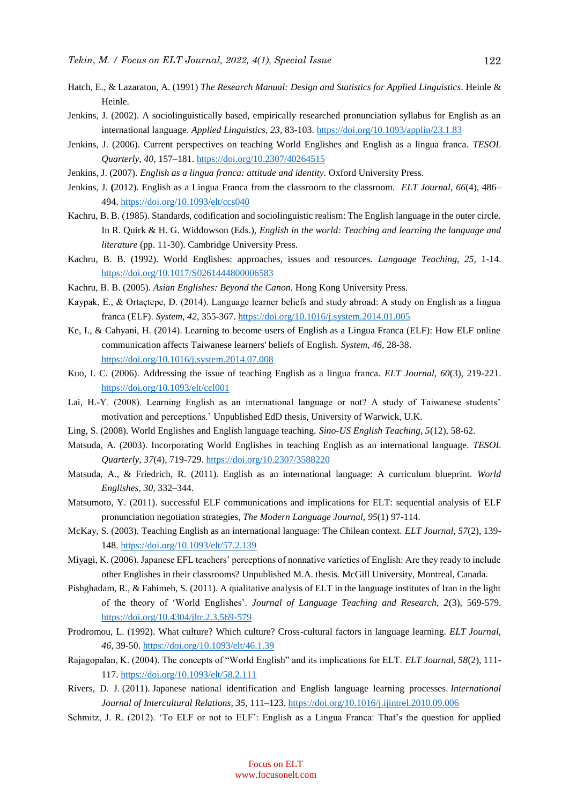- Hatch, E., & Lazaraton, A. (1991) *The Research Manual: Design and Statistics for Applied Linguistics*. Heinle & Heinle.
- Jenkins, J. (2002). A sociolinguistically based, empirically researched pronunciation syllabus for English as an international language. *Applied Linguistics*, *23*, 83-103. <https://doi.org/10.1093/applin/23.1.83>
- Jenkins, J. (2006). Current perspectives on teaching World Englishes and English as a lingua franca. *TESOL Quarterly, 40*, 157–181. <https://doi.org/10.2307/40264515>
- Jenkins, J. (2007). *English as a lingua franca: attitude and identity.* Oxford University Press.
- Jenkins, J. **(**2012). English as a Lingua Franca from the classroom to the classroom. *ELT Journal, 66*(4), 486– 494. <https://doi.org/10.1093/elt/ccs040>
- Kachru, B. B. (1985). Standards, codification and sociolinguistic realism: The English language in the outer circle. In R. Quirk & H. G. Widdowson (Eds.), *English in the world: Teaching and learning the language and literature* (pp. 11-30). Cambridge University Press.
- Kachru, B. B. (1992). World Englishes: approaches, issues and resources. *Language Teaching, 25,* 1-14. <https://doi.org/10.1017/S0261444800006583>
- Kachru, B. B. (2005). *Asian Englishes: Beyond the Canon.* Hong Kong University Press.
- Kaypak, E., & Ortaçtepe, D. (2014). Language learner beliefs and study abroad: A study on English as a lingua franca (ELF). *System, 42*, 355-367.<https://doi.org/10.1016/j.system.2014.01.005>
- Ke, I., & Cahyani, H. (2014). Learning to become users of English as a Lingua Franca (ELF): How ELF online communication affects Taiwanese learners' beliefs of English. *System, 46,* 28-38. <https://doi.org/10.1016/j.system.2014.07.008>
- Kuo, I. C. (2006). Addressing the issue of teaching English as a lingua franca. *ELT Journal, 60*(3), 219-221. <https://doi.org/10.1093/elt/ccl001>
- Lai, H.-Y. (2008). Learning English as an international language or not? A study of Taiwanese students' motivation and perceptions.' Unpublished EdD thesis, University of Warwick, U.K.
- Ling, S. (2008). World Englishes and English language teaching. *Sino-US English Teaching, 5*(12), 58-62.
- Matsuda, A. (2003). Incorporating World Englishes in teaching English as an international language*. TESOL Quarterly, 37*(4), 719-729. <https://doi.org/10.2307/3588220>
- Matsuda, A., & Friedrich, R. (2011). English as an international language: A curriculum blueprint. *World Englishes, 30*, 332–344.
- Matsumoto, Y. (2011). [successful ELF communications and implications for ELT: sequential analysis of ELF](http://www.mendeley.com/research/successful-elf-communications-implications-elt-sequential-analysis-elf-pronunciation-negotiation-str/) [pronunciation negotiation strategies,](http://www.mendeley.com/research/successful-elf-communications-implications-elt-sequential-analysis-elf-pronunciation-negotiation-str/) *The Modern Language Journal, 95*(1) 97-114.
- McKay, S. (2003). Teaching English as an international language: The Chilean context. *ELT Journal, 57*(2), 139- 148. <https://doi.org/10.1093/elt/57.2.139>
- Miyagi, K. (2006). Japanese EFL teachers' perceptions of nonnative varieties of English: Are they ready to include other Englishes in their classrooms? Unpublished M.A. thesis*.* McGill University, Montreal, Canada.
- Pishghadam, R., & Fahimeh, S. (2011). A qualitative analysis of ELT in the language institutes of Iran in the light of the theory of 'World Englishes'. *Journal of Language Teaching and Research, 2*(3), 569-579. <https://doi.org/10.4304/jltr.2.3.569-579>
- Prodromou, L. (1992). What culture? Which culture? Cross-cultural factors in language learning. *ELT Journal, 46,* 39-50. <https://doi.org/10.1093/elt/46.1.39>
- Rajagopalan, K. (2004). The concepts of "World English" and its implications for ELT. *ELT Journal, 58*(2), 111- 117. <https://doi.org/10.1093/elt/58.2.111>
- Rivers, D. J. (2011). Japanese national identification and English language learning processes. *International Journal of Intercultural Relations, 35,* 111–123. <https://doi.org/10.1016/j.ijintrel.2010.09.006>
- Schmitz, J. R. (2012). 'To ELF or not to ELF': English as a Lingua Franca: That's the question for applied